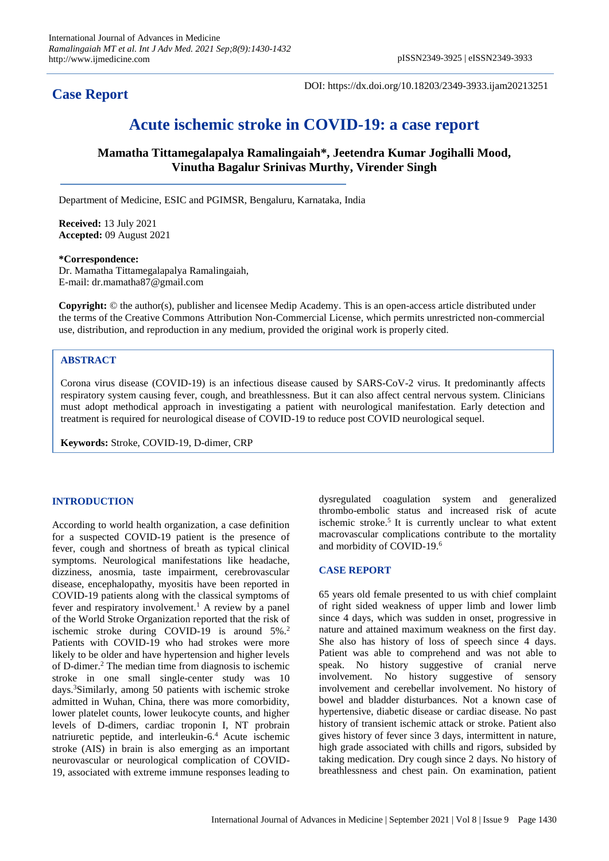# **Case Report**

DOI: https://dx.doi.org/10.18203/2349-3933.ijam20213251

# **Acute ischemic stroke in COVID-19: a case report**

**Mamatha Tittamegalapalya Ramalingaiah\*, Jeetendra Kumar Jogihalli Mood, Vinutha Bagalur Srinivas Murthy, Virender Singh**

Department of Medicine, ESIC and PGIMSR, Bengaluru, Karnataka, India

**Received:** 13 July 2021 **Accepted:** 09 August 2021

#### **\*Correspondence:**

Dr. Mamatha Tittamegalapalya Ramalingaiah, E-mail: dr.mamatha87@gmail.com

**Copyright:** © the author(s), publisher and licensee Medip Academy. This is an open-access article distributed under the terms of the Creative Commons Attribution Non-Commercial License, which permits unrestricted non-commercial use, distribution, and reproduction in any medium, provided the original work is properly cited.

## **ABSTRACT**

Corona virus disease (COVID-19) is an infectious disease caused by SARS-CoV-2 virus. It predominantly affects respiratory system causing fever, cough, and breathlessness. But it can also affect central nervous system. Clinicians must adopt methodical approach in investigating a patient with neurological manifestation. Early detection and treatment is required for neurological disease of COVID-19 to reduce post COVID neurological sequel.

**Keywords:** Stroke, COVID-19, D-dimer, CRP

## **INTRODUCTION**

According to world health organization, a case definition for a suspected COVID-19 patient is the presence of fever, cough and shortness of breath as typical clinical symptoms. Neurological manifestations like headache, dizziness, anosmia, taste impairment, cerebrovascular disease, encephalopathy, myositis have been reported in COVID-19 patients along with the classical symptoms of fever and respiratory involvement.<sup>1</sup> A review by a panel of the World Stroke Organization reported that the risk of ischemic stroke during COVID-19 is around 5%.<sup>2</sup> Patients with COVID-19 who had strokes were more likely to be older and have hypertension and higher levels of D-dimer.<sup>2</sup> The median time from diagnosis to ischemic stroke in one small single-center study was 10 days.<sup>3</sup>Similarly, among 50 patients with ischemic stroke admitted in Wuhan, China, there was more comorbidity, lower platelet counts, lower leukocyte counts, and higher levels of D-dimers, cardiac troponin I, NT probrain natriuretic peptide, and interleukin-6.<sup>4</sup> Acute ischemic stroke (AIS) in brain is also emerging as an important neurovascular or neurological complication of COVID-19, associated with extreme immune responses leading to

dysregulated coagulation system and generalized thrombo-embolic status and increased risk of acute ischemic stroke.<sup>5</sup> It is currently unclear to what extent macrovascular complications contribute to the mortality and morbidity of COVID-19.<sup>6</sup>

## **CASE REPORT**

65 years old female presented to us with chief complaint of right sided weakness of upper limb and lower limb since 4 days, which was sudden in onset, progressive in nature and attained maximum weakness on the first day. She also has history of loss of speech since 4 days. Patient was able to comprehend and was not able to speak. No history suggestive of cranial nerve involvement. No history suggestive of sensory involvement and cerebellar involvement. No history of bowel and bladder disturbances. Not a known case of hypertensive, diabetic disease or cardiac disease. No past history of transient ischemic attack or stroke. Patient also gives history of fever since 3 days, intermittent in nature, high grade associated with chills and rigors, subsided by taking medication. Dry cough since 2 days. No history of breathlessness and chest pain. On examination, patient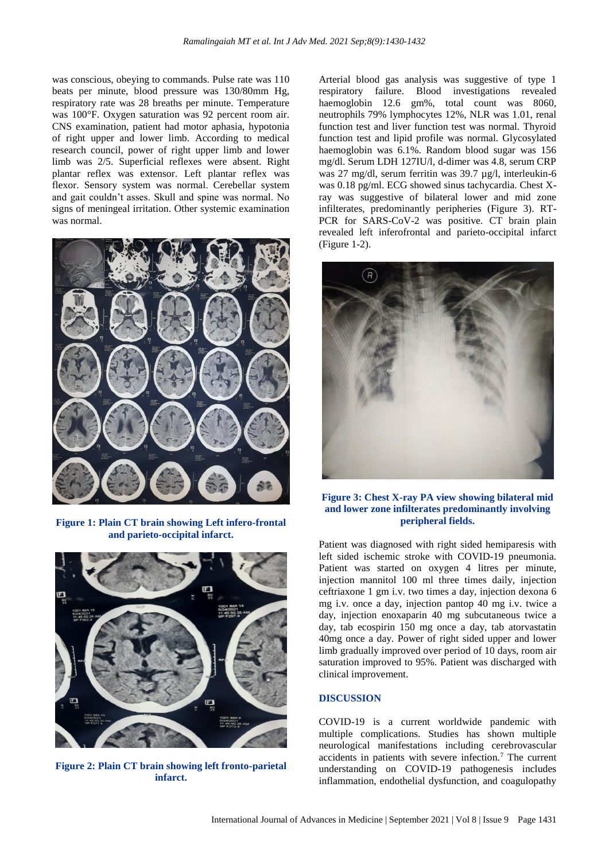was conscious, obeying to commands. Pulse rate was 110 beats per minute, blood pressure was 130/80mm Hg, respiratory rate was 28 breaths per minute. Temperature was 100°F. Oxygen saturation was 92 percent room air. CNS examination, patient had motor aphasia, hypotonia of right upper and lower limb. According to medical research council, power of right upper limb and lower limb was 2/5. Superficial reflexes were absent. Right plantar reflex was extensor. Left plantar reflex was flexor. Sensory system was normal. Cerebellar system and gait couldn't asses. Skull and spine was normal. No signs of meningeal irritation. Other systemic examination was normal.



**Figure 1: Plain CT brain showing Left infero-frontal and parieto-occipital infarct.**



**Figure 2: Plain CT brain showing left fronto-parietal infarct.**

Arterial blood gas analysis was suggestive of type 1 respiratory failure. Blood investigations revealed haemoglobin 12.6 gm%, total count was 8060, neutrophils 79% lymphocytes 12%, NLR was 1.01, renal function test and liver function test was normal. Thyroid function test and lipid profile was normal. Glycosylated haemoglobin was 6.1%. Random blood sugar was 156 mg/dl. Serum LDH 127IU/l, d-dimer was 4.8, serum CRP was 27 mg/dl, serum ferritin was 39.7 µg/l, interleukin-6 was 0.18 pg/ml. ECG showed sinus tachycardia. Chest Xray was suggestive of bilateral lower and mid zone infilterates, predominantly peripheries (Figure 3). RT-PCR for SARS-CoV-2 was positive. CT brain plain revealed left inferofrontal and parieto-occipital infarct (Figure 1-2).



**Figure 3: Chest X-ray PA view showing bilateral mid and lower zone infilterates predominantly involving peripheral fields.**

Patient was diagnosed with right sided hemiparesis with left sided ischemic stroke with COVID-19 pneumonia. Patient was started on oxygen 4 litres per minute, injection mannitol 100 ml three times daily, injection ceftriaxone 1 gm i.v. two times a day, injection dexona 6 mg i.v. once a day, injection pantop 40 mg i.v. twice a day, injection enoxaparin 40 mg subcutaneous twice a day, tab ecospirin 150 mg once a day, tab atorvastatin 40mg once a day. Power of right sided upper and lower limb gradually improved over period of 10 days, room air saturation improved to 95%. Patient was discharged with clinical improvement.

#### **DISCUSSION**

COVID-19 is a current worldwide pandemic with multiple complications. Studies has shown multiple neurological manifestations including cerebrovascular accidents in patients with severe infection.<sup>7</sup> The current understanding on COVID-19 pathogenesis includes inflammation, endothelial dysfunction, and coagulopathy